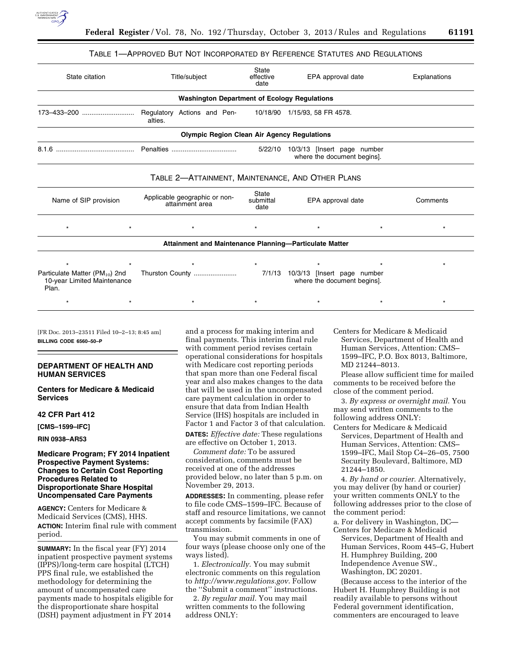

### TABLE 1—APPROVED BUT NOT INCORPORATED BY REFERENCE STATUTES AND REGULATIONS

| State citation                                                                     | Title/subject                                                                      | <b>State</b><br>effective<br>date | EPA approval date                                                   |         | Explanations |
|------------------------------------------------------------------------------------|------------------------------------------------------------------------------------|-----------------------------------|---------------------------------------------------------------------|---------|--------------|
|                                                                                    | <b>Washington Department of Ecology Regulations</b>                                |                                   |                                                                     |         |              |
|                                                                                    | Regulatory Actions and Pen-<br>alties.                                             |                                   | 10/18/90 1/15/93, 58 FR 4578.                                       |         |              |
|                                                                                    | <b>Olympic Region Clean Air Agency Regulations</b>                                 |                                   |                                                                     |         |              |
|                                                                                    | Penalties<br>5/22/10<br>10/3/13 [Insert page number<br>where the document begins]. |                                   |                                                                     |         |              |
|                                                                                    | TABLE 2-ATTAINMENT, MAINTENANCE, AND OTHER PLANS                                   |                                   |                                                                     |         |              |
| Name of SIP provision                                                              | Applicable geographic or non-<br>attainment area                                   | State<br>submittal<br>date        | EPA approval date                                                   |         | Comments     |
| $\star$<br>$\star$                                                                 | $\star$                                                                            | $\star$                           | $\star$                                                             | $\star$ | $\star$      |
|                                                                                    | Attainment and Maintenance Planning-Particulate Matter                             |                                   |                                                                     |         |              |
|                                                                                    |                                                                                    |                                   |                                                                     |         |              |
| Particulate Matter (PM <sub>10</sub> ) 2nd<br>10-year Limited Maintenance<br>Plan. | Thurston County                                                                    |                                   | $7/1/13$ 10/3/13 [Insert page number<br>where the document begins]. |         |              |
|                                                                                    |                                                                                    |                                   |                                                                     |         |              |

[FR Doc. 2013–23511 Filed 10–2–13; 8:45 am] **BILLING CODE 6560–50–P** 

## **DEPARTMENT OF HEALTH AND HUMAN SERVICES**

**Centers for Medicare & Medicaid Services** 

### **42 CFR Part 412**

**[CMS–1599–IFC]** 

**RIN 0938–AR53** 

## **Medicare Program; FY 2014 Inpatient Prospective Payment Systems: Changes to Certain Cost Reporting Procedures Related to Disproportionate Share Hospital Uncompensated Care Payments**

**AGENCY:** Centers for Medicare & Medicaid Services (CMS), HHS. **ACTION:** Interim final rule with comment period.

**SUMMARY:** In the fiscal year (FY) 2014 inpatient prospective payment systems (IPPS)/long-term care hospital (LTCH) PPS final rule, we established the methodology for determining the amount of uncompensated care payments made to hospitals eligible for the disproportionate share hospital (DSH) payment adjustment in FY 2014

and a process for making interim and final payments. This interim final rule with comment period revises certain operational considerations for hospitals with Medicare cost reporting periods that span more than one Federal fiscal year and also makes changes to the data that will be used in the uncompensated care payment calculation in order to ensure that data from Indian Health Service (IHS) hospitals are included in Factor 1 and Factor 3 of that calculation.

**DATES:** *Effective date:* These regulations are effective on October 1, 2013.

*Comment date:* To be assured consideration, comments must be received at one of the addresses provided below, no later than 5 p.m. on November 29, 2013.

**ADDRESSES:** In commenting, please refer to file code CMS–1599–IFC. Because of staff and resource limitations, we cannot accept comments by facsimile (FAX) transmission.

You may submit comments in one of four ways (please choose only one of the ways listed).

1. *Electronically.* You may submit electronic comments on this regulation to *<http://www.regulations.gov>*. Follow the ''Submit a comment'' instructions.

2. *By regular mail.* You may mail written comments to the following address ONLY:

Centers for Medicare & Medicaid Services, Department of Health and Human Services, Attention: CMS– 1599–IFC, P.O. Box 8013, Baltimore, MD 21244–8013.

Please allow sufficient time for mailed comments to be received before the close of the comment period.

3. *By express or overnight mail.* You may send written comments to the following address ONLY:

Centers for Medicare & Medicaid Services, Department of Health and Human Services, Attention: CMS– 1599–IFC, Mail Stop C4–26–05, 7500 Security Boulevard, Baltimore, MD 21244–1850.

4. *By hand or courier.* Alternatively, you may deliver (by hand or courier) your written comments ONLY to the following addresses prior to the close of the comment period:

a. For delivery in Washington, DC— Centers for Medicare & Medicaid Services, Department of Health and Human Services, Room 445–G, Hubert H. Humphrey Building, 200 Independence Avenue SW., Washington, DC 20201.

(Because access to the interior of the Hubert H. Humphrey Building is not readily available to persons without Federal government identification, commenters are encouraged to leave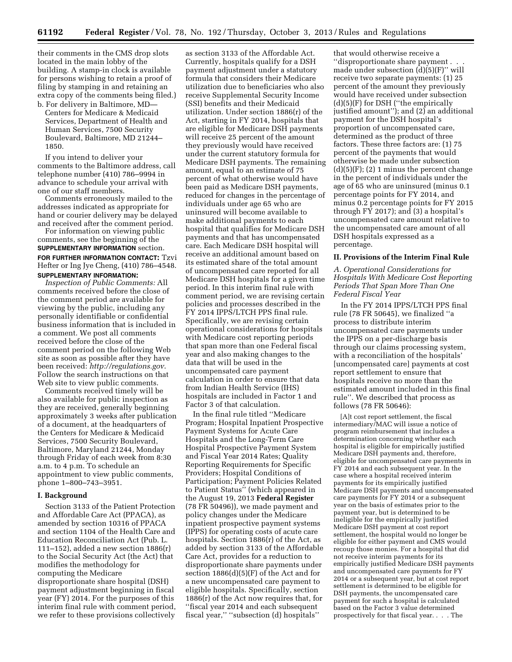their comments in the CMS drop slots located in the main lobby of the building. A stamp-in clock is available for persons wishing to retain a proof of filing by stamping in and retaining an extra copy of the comments being filed.) b. For delivery in Baltimore, MD—

Centers for Medicare & Medicaid Services, Department of Health and Human Services, 7500 Security Boulevard, Baltimore, MD 21244– 1850.

If you intend to deliver your comments to the Baltimore address, call telephone number (410) 786–9994 in advance to schedule your arrival with one of our staff members.

Comments erroneously mailed to the addresses indicated as appropriate for hand or courier delivery may be delayed and received after the comment period.

For information on viewing public comments, see the beginning of the **SUPPLEMENTARY INFORMATION** section. **FOR FURTHER INFORMATION CONTACT:** Tzvi Hefter or Ing Jye Cheng, (410) 786–4548. **SUPPLEMENTARY INFORMATION:** 

*Inspection of Public Comments:* All comments received before the close of the comment period are available for viewing by the public, including any personally identifiable or confidential business information that is included in a comment. We post all comments received before the close of the comment period on the following Web site as soon as possible after they have been received: *<http://regulations.gov>*. Follow the search instructions on that Web site to view public comments.

Comments received timely will be also available for public inspection as they are received, generally beginning approximately 3 weeks after publication of a document, at the headquarters of the Centers for Medicare & Medicaid Services, 7500 Security Boulevard, Baltimore, Maryland 21244, Monday through Friday of each week from 8:30 a.m. to 4 p.m. To schedule an appointment to view public comments, phone 1–800–743–3951.

#### **I. Background**

Section 3133 of the Patient Protection and Affordable Care Act (PPACA), as amended by section 10316 of PPACA and section 1104 of the Health Care and Education Reconciliation Act (Pub. L. 111–152), added a new section 1886(r) to the Social Security Act (the Act) that modifies the methodology for computing the Medicare disproportionate share hospital (DSH) payment adjustment beginning in fiscal year (FY) 2014. For the purposes of this interim final rule with comment period, we refer to these provisions collectively

as section 3133 of the Affordable Act. Currently, hospitals qualify for a DSH payment adjustment under a statutory formula that considers their Medicare utilization due to beneficiaries who also receive Supplemental Security Income (SSI) benefits and their Medicaid utilization. Under section 1886(r) of the Act, starting in FY 2014, hospitals that are eligible for Medicare DSH payments will receive 25 percent of the amount they previously would have received under the current statutory formula for Medicare DSH payments. The remaining amount, equal to an estimate of 75 percent of what otherwise would have been paid as Medicare DSH payments, reduced for changes in the percentage of individuals under age 65 who are uninsured will become available to make additional payments to each hospital that qualifies for Medicare DSH payments and that has uncompensated care. Each Medicare DSH hospital will receive an additional amount based on its estimated share of the total amount of uncompensated care reported for all Medicare DSH hospitals for a given time period. In this interim final rule with comment period, we are revising certain policies and processes described in the FY 2014 IPPS/LTCH PPS final rule. Specifically, we are revising certain operational considerations for hospitals with Medicare cost reporting periods that span more than one Federal fiscal year and also making changes to the data that will be used in the uncompensated care payment calculation in order to ensure that data from Indian Health Service (IHS) hospitals are included in Factor 1 and Factor 3 of that calculation.

In the final rule titled ''Medicare Program; Hospital Inpatient Prospective Payment Systems for Acute Care Hospitals and the Long-Term Care Hospital Prospective Payment System and Fiscal Year 2014 Rates; Quality Reporting Requirements for Specific Providers; Hospital Conditions of Participation; Payment Policies Related to Patient Status'' (which appeared in the August 19, 2013 **Federal Register**  (78 FR 50496)), we made payment and policy changes under the Medicare inpatient prospective payment systems (IPPS) for operating costs of acute care hospitals. Section 1886(r) of the Act, as added by section 3133 of the Affordable Care Act, provides for a reduction to disproportionate share payments under section 1886(d)(5)(F) of the Act and for a new uncompensated care payment to eligible hospitals. Specifically, section 1886(r) of the Act now requires that, for ''fiscal year 2014 and each subsequent fiscal year,'' ''subsection (d) hospitals''

that would otherwise receive a ''disproportionate share payment . . . made under subsection (d)(5)(F)'' will receive two separate payments: (1) 25 percent of the amount they previously would have received under subsection (d)(5)(F) for DSH (''the empirically justified amount''); and (2) an additional payment for the DSH hospital's proportion of uncompensated care, determined as the product of three factors. These three factors are: (1) 75 percent of the payments that would otherwise be made under subsection  $(d)(5)(F); (2)$  1 minus the percent change in the percent of individuals under the age of 65 who are uninsured (minus 0.1 percentage points for FY 2014, and minus 0.2 percentage points for FY 2015 through FY 2017); and (3) a hospital's uncompensated care amount relative to the uncompensated care amount of all DSH hospitals expressed as a percentage.

#### **II. Provisions of the Interim Final Rule**

*A. Operational Considerations for Hospitals With Medicare Cost Reporting Periods That Span More Than One Federal Fiscal Year* 

In the FY 2014 IPPS/LTCH PPS final rule (78 FR 50645), we finalized ''a process to distribute interim uncompensated care payments under the IPPS on a per-discharge basis through our claims processing system, with a reconciliation of the hospitals' [uncompensated care] payments at cost report settlement to ensure that hospitals receive no more than the estimated amount included in this final rule''. We described that process as follows (78 FR 50646):

[A]t cost report settlement, the fiscal intermediary/MAC will issue a notice of program reimbursement that includes a determination concerning whether each hospital is eligible for empirically justified Medicare DSH payments and, therefore, eligible for uncompensated care payments in FY 2014 and each subsequent year. In the case where a hospital received interim payments for its empirically justified Medicare DSH payments and uncompensated care payments for FY 2014 or a subsequent year on the basis of estimates prior to the payment year, but is determined to be ineligible for the empirically justified Medicare DSH payment at cost report settlement, the hospital would no longer be eligible for either payment and CMS would recoup those monies. For a hospital that did not receive interim payments for its empirically justified Medicare DSH payments and uncompensated care payments for FY 2014 or a subsequent year, but at cost report settlement is determined to be eligible for DSH payments, the uncompensated care payment for such a hospital is calculated based on the Factor 3 value determined prospectively for that fiscal year. . . . The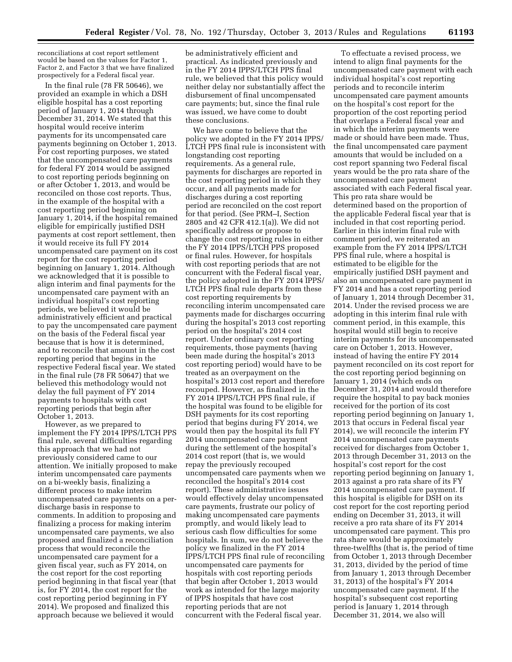reconciliations at cost report settlement would be based on the values for Factor 1, Factor 2, and Factor 3 that we have finalized prospectively for a Federal fiscal year.

In the final rule (78 FR 50646), we provided an example in which a DSH eligible hospital has a cost reporting period of January 1, 2014 through December 31, 2014. We stated that this hospital would receive interim payments for its uncompensated care payments beginning on October 1, 2013. For cost reporting purposes, we stated that the uncompensated care payments for federal FY 2014 would be assigned to cost reporting periods beginning on or after October 1, 2013, and would be reconciled on those cost reports. Thus, in the example of the hospital with a cost reporting period beginning on January 1, 2014, if the hospital remained eligible for empirically justified DSH payments at cost report settlement, then it would receive its full FY 2014 uncompensated care payment on its cost report for the cost reporting period beginning on January 1, 2014. Although we acknowledged that it is possible to align interim and final payments for the uncompensated care payment with an individual hospital's cost reporting periods, we believed it would be administratively efficient and practical to pay the uncompensated care payment on the basis of the Federal fiscal year because that is how it is determined, and to reconcile that amount in the cost reporting period that begins in the respective Federal fiscal year. We stated in the final rule (78 FR 50647) that we believed this methodology would not delay the full payment of FY 2014 payments to hospitals with cost reporting periods that begin after October 1, 2013.

However, as we prepared to implement the FY 2014 IPPS/LTCH PPS final rule, several difficulties regarding this approach that we had not previously considered came to our attention. We initially proposed to make interim uncompensated care payments on a bi-weekly basis, finalizing a different process to make interim uncompensated care payments on a perdischarge basis in response to comments. In addition to proposing and finalizing a process for making interim uncompensated care payments, we also proposed and finalized a reconciliation process that would reconcile the uncompensated care payment for a given fiscal year, such as FY 2014, on the cost report for the cost reporting period beginning in that fiscal year (that is, for FY 2014, the cost report for the cost reporting period beginning in FY 2014). We proposed and finalized this approach because we believed it would

be administratively efficient and practical. As indicated previously and in the FY 2014 IPPS/LTCH PPS final rule, we believed that this policy would neither delay nor substantially affect the disbursement of final uncompensated care payments; but, since the final rule was issued, we have come to doubt these conclusions.

We have come to believe that the policy we adopted in the FY 2014 IPPS/ LTCH PPS final rule is inconsistent with longstanding cost reporting requirements. As a general rule, payments for discharges are reported in the cost reporting period in which they occur, and all payments made for discharges during a cost reporting period are reconciled on the cost report for that period. (See PRM–I, Section 2805 and 42 CFR 412.1(a)). We did not specifically address or propose to change the cost reporting rules in either the FY 2014 IPPS/LTCH PPS proposed or final rules. However, for hospitals with cost reporting periods that are not concurrent with the Federal fiscal year, the policy adopted in the FY 2014 IPPS/ LTCH PPS final rule departs from these cost reporting requirements by reconciling interim uncompensated care payments made for discharges occurring during the hospital's 2013 cost reporting period on the hospital's 2014 cost report. Under ordinary cost reporting requirements, those payments (having been made during the hospital's 2013 cost reporting period) would have to be treated as an overpayment on the hospital's 2013 cost report and therefore recouped. However, as finalized in the FY 2014 IPPS/LTCH PPS final rule, if the hospital was found to be eligible for DSH payments for its cost reporting period that begins during FY 2014, we would then pay the hospital its full FY 2014 uncompensated care payment during the settlement of the hospital's 2014 cost report (that is, we would repay the previously recouped uncompensated care payments when we reconciled the hospital's 2014 cost report). These administrative issues would effectively delay uncompensated care payments, frustrate our policy of making uncompensated care payments promptly, and would likely lead to serious cash flow difficulties for some hospitals. In sum, we do not believe the policy we finalized in the FY 2014 IPPS/LTCH PPS final rule of reconciling uncompensated care payments for hospitals with cost reporting periods that begin after October 1, 2013 would work as intended for the large majority of IPPS hospitals that have cost reporting periods that are not concurrent with the Federal fiscal year.

To effectuate a revised process, we intend to align final payments for the uncompensated care payment with each individual hospital's cost reporting periods and to reconcile interim uncompensated care payment amounts on the hospital's cost report for the proportion of the cost reporting period that overlaps a Federal fiscal year and in which the interim payments were made or should have been made. Thus, the final uncompensated care payment amounts that would be included on a cost report spanning two Federal fiscal years would be the pro rata share of the uncompensated care payment associated with each Federal fiscal year. This pro rata share would be determined based on the proportion of the applicable Federal fiscal year that is included in that cost reporting period. Earlier in this interim final rule with comment period, we reiterated an example from the FY 2014 IPPS/LTCH PPS final rule, where a hospital is estimated to be eligible for the empirically justified DSH payment and also an uncompensated care payment in FY 2014 and has a cost reporting period of January 1, 2014 through December 31, 2014. Under the revised process we are adopting in this interim final rule with comment period, in this example, this hospital would still begin to receive interim payments for its uncompensated care on October 1, 2013. However, instead of having the entire FY 2014 payment reconciled on its cost report for the cost reporting period beginning on January 1, 2014 (which ends on December 31, 2014 and would therefore require the hospital to pay back monies received for the portion of its cost reporting period beginning on January 1, 2013 that occurs in Federal fiscal year 2014), we will reconcile the interim FY 2014 uncompensated care payments received for discharges from October 1, 2013 through December 31, 2013 on the hospital's cost report for the cost reporting period beginning on January 1, 2013 against a pro rata share of its FY 2014 uncompensated care payment. If this hospital is eligible for DSH on its cost report for the cost reporting period ending on December 31, 2013, it will receive a pro rata share of its FY 2014 uncompensated care payment. This pro rata share would be approximately three-twelfths (that is, the period of time from October 1, 2013 through December 31, 2013, divided by the period of time from January 1, 2013 through December 31, 2013) of the hospital's FY 2014 uncompensated care payment. If the hospital's subsequent cost reporting period is January 1, 2014 through December 31, 2014, we also will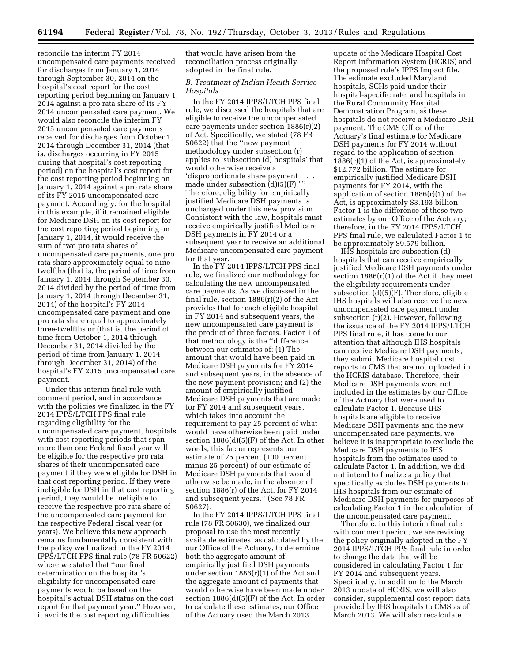reconcile the interim FY 2014 uncompensated care payments received for discharges from January 1, 2014 through September 30, 2014 on the hospital's cost report for the cost reporting period beginning on January 1, 2014 against a pro rata share of its FY 2014 uncompensated care payment. We would also reconcile the interim FY 2015 uncompensated care payments received for discharges from October 1, 2014 through December 31, 2014 (that is, discharges occurring in FY 2015 during that hospital's cost reporting period) on the hospital's cost report for the cost reporting period beginning on January 1, 2014 against a pro rata share of its FY 2015 uncompensated care payment. Accordingly, for the hospital in this example, if it remained eligible for Medicare DSH on its cost report for the cost reporting period beginning on January 1, 2014, it would receive the sum of two pro rata shares of uncompensated care payments, one pro rata share approximately equal to ninetwelfths (that is, the period of time from January 1, 2014 through September 30, 2014 divided by the period of time from January 1, 2014 through December 31, 2014) of the hospital's FY 2014 uncompensated care payment and one pro rata share equal to approximately three-twelfths or (that is, the period of time from October 1, 2014 through December 31, 2014 divided by the period of time from January 1, 2014 through December 31, 2014) of the hospital's FY 2015 uncompensated care payment.

Under this interim final rule with comment period, and in accordance with the policies we finalized in the FY 2014 IPPS/LTCH PPS final rule regarding eligibility for the uncompensated care payment, hospitals with cost reporting periods that span more than one Federal fiscal year will be eligible for the respective pro rata shares of their uncompensated care payment if they were eligible for DSH in that cost reporting period. If they were ineligible for DSH in that cost reporting period, they would be ineligible to receive the respective pro rata share of the uncompensated care payment for the respective Federal fiscal year (or years). We believe this new approach remains fundamentally consistent with the policy we finalized in the FY 2014 IPPS/LTCH PPS final rule (78 FR 50622) where we stated that ''our final determination on the hospital's eligibility for uncompensated care payments would be based on the hospital's actual DSH status on the cost report for that payment year.'' However, it avoids the cost reporting difficulties

that would have arisen from the reconciliation process originally adopted in the final rule.

# *B. Treatment of Indian Health Service Hospitals*

In the FY 2014 IPPS/LTCH PPS final rule, we discussed the hospitals that are eligible to receive the uncompensated care payments under section 1886(r)(2) of Act. Specifically, we stated (78 FR 50622) that the ''new payment methodology under subsection (r) applies to 'subsection (d) hospitals' that would otherwise receive a 'disproportionate share payment . . . made under subsection  $\vec{d}$ )(5)(F).'" Therefore, eligibility for empirically justified Medicare DSH payments is unchanged under this new provision. Consistent with the law, hospitals must receive empirically justified Medicare DSH payments in FY 2014 or a subsequent year to receive an additional Medicare uncompensated care payment for that year.

In the FY 2014 IPPS/LTCH PPS final rule, we finalized our methodology for calculating the new uncompensated care payments. As we discussed in the final rule, section 1886(r)(2) of the Act provides that for each eligible hospital in FY 2014 and subsequent years, the new uncompensated care payment is the product of three factors. Factor 1 of that methodology is the ''difference between our estimates of: (1) The amount that would have been paid in Medicare DSH payments for FY 2014 and subsequent years, in the absence of the new payment provision; and (2) the amount of empirically justified Medicare DSH payments that are made for FY 2014 and subsequent years, which takes into account the requirement to pay 25 percent of what would have otherwise been paid under section 1886(d)(5)(F) of the Act. In other words, this factor represents our estimate of 75 percent (100 percent minus 25 percent) of our estimate of Medicare DSH payments that would otherwise be made, in the absence of section 1886(r) of the Act, for FY 2014 and subsequent years.'' (See 78 FR 50627).

In the FY 2014 IPPS/LTCH PPS final rule (78 FR 50630), we finalized our proposal to use the most recently available estimates, as calculated by the our Office of the Actuary, to determine both the aggregate amount of empirically justified DSH payments under section 1886(r)(1) of the Act and the aggregate amount of payments that would otherwise have been made under section 1886(d)(5)(F) of the Act. In order to calculate these estimates, our Office of the Actuary used the March 2013

update of the Medicare Hospital Cost Report Information System (HCRIS) and the proposed rule's IPPS Impact file. The estimate excluded Maryland hospitals, SCHs paid under their hospital-specific rate, and hospitals in the Rural Community Hospital Demonstration Program, as these hospitals do not receive a Medicare DSH payment. The CMS Office of the Actuary's final estimate for Medicare DSH payments for FY 2014 without regard to the application of section 1886(r)(1) of the Act, is approximately \$12.772 billion. The estimate for empirically justified Medicare DSH payments for FY 2014, with the application of section 1886(r)(1) of the Act, is approximately \$3.193 billion. Factor 1 is the difference of these two estimates by our Office of the Actuary; therefore, in the FY 2014 IPPS/LTCH PPS final rule, we calculated Factor 1 to be approximately \$9.579 billion.

IHS hospitals are subsection (d) hospitals that can receive empirically justified Medicare DSH payments under section 1886(r)(1) of the Act if they meet the eligibility requirements under subsection (d)(5)(F). Therefore, eligible IHS hospitals will also receive the new uncompensated care payment under subsection (r)(2). However, following the issuance of the FY 2014 IPPS/LTCH PPS final rule, it has come to our attention that although IHS hospitals can receive Medicare DSH payments, they submit Medicare hospital cost reports to CMS that are not uploaded in the HCRIS database. Therefore, their Medicare DSH payments were not included in the estimates by our Office of the Actuary that were used to calculate Factor 1. Because IHS hospitals are eligible to receive Medicare DSH payments and the new uncompensated care payments, we believe it is inappropriate to exclude the Medicare DSH payments to IHS hospitals from the estimates used to calculate Factor 1. In addition, we did not intend to finalize a policy that specifically excludes DSH payments to IHS hospitals from our estimate of Medicare DSH payments for purposes of calculating Factor 1 in the calculation of the uncompensated care payment.

Therefore, in this interim final rule with comment period, we are revising the policy originally adopted in the FY 2014 IPPS/LTCH PPS final rule in order to change the data that will be considered in calculating Factor 1 for FY 2014 and subsequent years. Specifically, in addition to the March 2013 update of HCRIS, we will also consider, supplemental cost report data provided by IHS hospitals to CMS as of March 2013. We will also recalculate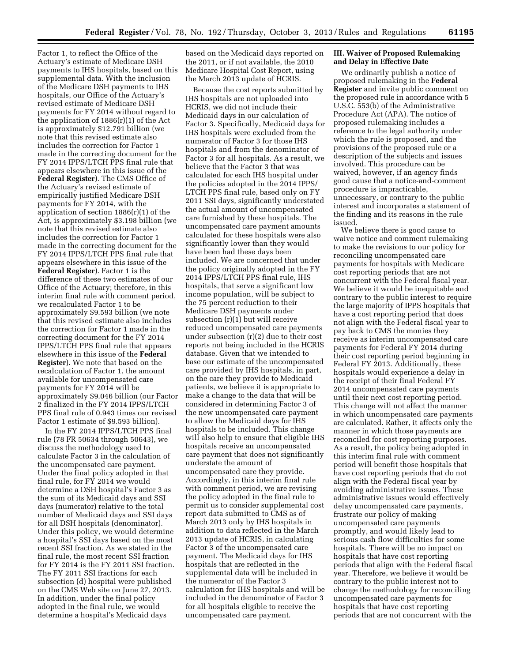Factor 1, to reflect the Office of the Actuary's estimate of Medicare DSH payments to IHS hospitals, based on this supplemental data. With the inclusion of the Medicare DSH payments to IHS hospitals, our Office of the Actuary's revised estimate of Medicare DSH payments for FY 2014 without regard to the application of 1886(r)(1) of the Act is approximately \$12.791 billion (we note that this revised estimate also includes the correction for Factor 1 made in the correcting document for the FY 2014 IPPS/LTCH PPS final rule that appears elsewhere in this issue of the **Federal Register**). The CMS Office of the Actuary's revised estimate of empirically justified Medicare DSH payments for FY 2014, with the application of section 1886(r)(1) of the Act, is approximately \$3.198 billion (we note that this revised estimate also includes the correction for Factor 1 made in the correcting document for the FY 2014 IPPS/LTCH PPS final rule that appears elsewhere in this issue of the **Federal Register**). Factor 1 is the difference of these two estimates of our Office of the Actuary; therefore, in this interim final rule with comment period, we recalculated Factor 1 to be approximately \$9.593 billion (we note that this revised estimate also includes the correction for Factor 1 made in the correcting document for the FY 2014 IPPS/LTCH PPS final rule that appears elsewhere in this issue of the **Federal Register**). We note that based on the recalculation of Factor 1, the amount available for uncompensated care payments for FY 2014 will be approximately \$9.046 billion (our Factor 2 finalized in the FY 2014 IPPS/LTCH PPS final rule of 0.943 times our revised Factor 1 estimate of \$9.593 billion).

In the FY 2014 IPPS/LTCH PPS final rule (78 FR 50634 through 50643), we discuss the methodology used to calculate Factor 3 in the calculation of the uncompensated care payment. Under the final policy adopted in that final rule, for FY 2014 we would determine a DSH hospital's Factor 3 as the sum of its Medicaid days and SSI days (numerator) relative to the total number of Medicaid days and SSI days for all DSH hospitals (denominator). Under this policy, we would determine a hospital's SSI days based on the most recent SSI fraction. As we stated in the final rule, the most recent SSI fraction for FY 2014 is the FY 2011 SSI fraction. The FY 2011 SSI fractions for each subsection (d) hospital were published on the CMS Web site on June 27, 2013. In addition, under the final policy adopted in the final rule, we would determine a hospital's Medicaid days

based on the Medicaid days reported on the 2011, or if not available, the 2010 Medicare Hospital Cost Report, using the March 2013 update of HCRIS.

Because the cost reports submitted by IHS hospitals are not uploaded into HCRIS, we did not include their Medicaid days in our calculation of Factor 3. Specifically, Medicaid days for IHS hospitals were excluded from the numerator of Factor 3 for those IHS hospitals and from the denominator of Factor 3 for all hospitals. As a result, we believe that the Factor 3 that was calculated for each IHS hospital under the policies adopted in the 2014 IPPS/ LTCH PPS final rule, based only on FY 2011 SSI days, significantly understated the actual amount of uncompensated care furnished by these hospitals. The uncompensated care payment amounts calculated for these hospitals were also significantly lower than they would have been had these days been included. We are concerned that under the policy originally adopted in the FY 2014 IPPS/LTCH PPS final rule, IHS hospitals, that serve a significant low income population, will be subject to the 75 percent reduction to their Medicare DSH payments under subsection (r)(1) but will receive reduced uncompensated care payments under subsection (r)(2) due to their cost reports not being included in the HCRIS database. Given that we intended to base our estimate of the uncompensated care provided by IHS hospitals, in part, on the care they provide to Medicaid patients, we believe it is appropriate to make a change to the data that will be considered in determining Factor 3 of the new uncompensated care payment to allow the Medicaid days for IHS hospitals to be included. This change will also help to ensure that eligible IHS hospitals receive an uncompensated care payment that does not significantly understate the amount of uncompensated care they provide. Accordingly, in this interim final rule with comment period, we are revising the policy adopted in the final rule to permit us to consider supplemental cost report data submitted to CMS as of March 2013 only by IHS hospitals in addition to data reflected in the March 2013 update of HCRIS, in calculating Factor 3 of the uncompensated care payment. The Medicaid days for IHS hospitals that are reflected in the supplemental data will be included in the numerator of the Factor 3 calculation for IHS hospitals and will be included in the denominator of Factor 3 for all hospitals eligible to receive the uncompensated care payment.

### **III. Waiver of Proposed Rulemaking and Delay in Effective Date**

We ordinarily publish a notice of proposed rulemaking in the **Federal Register** and invite public comment on the proposed rule in accordance with 5 U.S.C. 553(b) of the Administrative Procedure Act (APA). The notice of proposed rulemaking includes a reference to the legal authority under which the rule is proposed, and the provisions of the proposed rule or a description of the subjects and issues involved. This procedure can be waived, however, if an agency finds good cause that a notice-and-comment procedure is impracticable, unnecessary, or contrary to the public interest and incorporates a statement of the finding and its reasons in the rule issued.

We believe there is good cause to waive notice and comment rulemaking to make the revisions to our policy for reconciling uncompensated care payments for hospitals with Medicare cost reporting periods that are not concurrent with the Federal fiscal year. We believe it would be inequitable and contrary to the public interest to require the large majority of IPPS hospitals that have a cost reporting period that does not align with the Federal fiscal year to pay back to CMS the monies they receive as interim uncompensated care payments for Federal FY 2014 during their cost reporting period beginning in Federal FY 2013. Additionally, these hospitals would experience a delay in the receipt of their final Federal FY 2014 uncompensated care payments until their next cost reporting period. This change will not affect the manner in which uncompensated care payments are calculated. Rather, it affects only the manner in which those payments are reconciled for cost reporting purposes. As a result, the policy being adopted in this interim final rule with comment period will benefit those hospitals that have cost reporting periods that do not align with the Federal fiscal year by avoiding administrative issues. These administrative issues would effectively delay uncompensated care payments, frustrate our policy of making uncompensated care payments promptly, and would likely lead to serious cash flow difficulties for some hospitals. There will be no impact on hospitals that have cost reporting periods that align with the Federal fiscal year. Therefore, we believe it would be contrary to the public interest not to change the methodology for reconciling uncompensated care payments for hospitals that have cost reporting periods that are not concurrent with the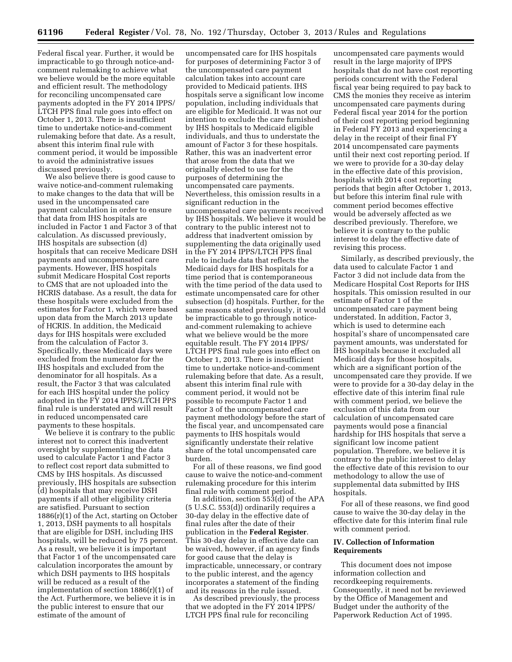Federal fiscal year. Further, it would be impracticable to go through notice-andcomment rulemaking to achieve what we believe would be the more equitable and efficient result. The methodology for reconciling uncompensated care payments adopted in the FY 2014 IPPS/ LTCH PPS final rule goes into effect on October 1, 2013. There is insufficient time to undertake notice-and-comment rulemaking before that date. As a result, absent this interim final rule with comment period, it would be impossible to avoid the administrative issues discussed previously.

We also believe there is good cause to waive notice-and-comment rulemaking to make changes to the data that will be used in the uncompensated care payment calculation in order to ensure that data from IHS hospitals are included in Factor 1 and Factor 3 of that calculation. As discussed previously, IHS hospitals are subsection (d) hospitals that can receive Medicare DSH payments and uncompensated care payments. However, IHS hospitals submit Medicare Hospital Cost reports to CMS that are not uploaded into the HCRIS database. As a result, the data for these hospitals were excluded from the estimates for Factor 1, which were based upon data from the March 2013 update of HCRIS. In addition, the Medicaid days for IHS hospitals were excluded from the calculation of Factor 3. Specifically, these Medicaid days were excluded from the numerator for the IHS hospitals and excluded from the denominator for all hospitals. As a result, the Factor 3 that was calculated for each IHS hospital under the policy adopted in the FY 2014 IPPS/LTCH PPS final rule is understated and will result in reduced uncompensated care payments to these hospitals.

We believe it is contrary to the public interest not to correct this inadvertent oversight by supplementing the data used to calculate Factor 1 and Factor 3 to reflect cost report data submitted to CMS by IHS hospitals. As discussed previously, IHS hospitals are subsection (d) hospitals that may receive DSH payments if all other eligibility criteria are satisfied. Pursuant to section 1886(r)(1) of the Act, starting on October 1, 2013, DSH payments to all hospitals that are eligible for DSH, including IHS hospitals, will be reduced by 75 percent. As a result, we believe it is important that Factor 1 of the uncompensated care calculation incorporates the amount by which DSH payments to IHS hospitals will be reduced as a result of the implementation of section 1886(r)(1) of the Act. Furthermore, we believe it is in the public interest to ensure that our estimate of the amount of

uncompensated care for IHS hospitals for purposes of determining Factor 3 of the uncompensated care payment calculation takes into account care provided to Medicaid patients. IHS hospitals serve a significant low income population, including individuals that are eligible for Medicaid. It was not our intention to exclude the care furnished by IHS hospitals to Medicaid eligible individuals, and thus to understate the amount of Factor 3 for these hospitals. Rather, this was an inadvertent error that arose from the data that we originally elected to use for the purposes of determining the uncompensated care payments. Nevertheless, this omission results in a significant reduction in the uncompensated care payments received by IHS hospitals. We believe it would be contrary to the public interest not to address that inadvertent omission by supplementing the data originally used in the FY 2014 IPPS/LTCH PPS final rule to include data that reflects the Medicaid days for IHS hospitals for a time period that is contemporaneous with the time period of the data used to estimate uncompensated care for other subsection (d) hospitals. Further, for the same reasons stated previously, it would be impracticable to go through noticeand-comment rulemaking to achieve what we believe would be the more equitable result. The FY 2014 IPPS/ LTCH PPS final rule goes into effect on October 1, 2013. There is insufficient time to undertake notice-and-comment rulemaking before that date. As a result, absent this interim final rule with comment period, it would not be possible to recompute Factor 1 and Factor 3 of the uncompensated care payment methodology before the start of the fiscal year, and uncompensated care payments to IHS hospitals would significantly understate their relative share of the total uncompensated care burden.

For all of these reasons, we find good cause to waive the notice-and-comment rulemaking procedure for this interim final rule with comment period.

In addition, section 553(d) of the APA (5 U.S.C. 553(d)) ordinarily requires a 30-day delay in the effective date of final rules after the date of their publication in the **Federal Register**. This 30-day delay in effective date can be waived, however, if an agency finds for good cause that the delay is impracticable, unnecessary, or contrary to the public interest, and the agency incorporates a statement of the finding and its reasons in the rule issued.

As described previously, the process that we adopted in the FY 2014 IPPS/ LTCH PPS final rule for reconciling

uncompensated care payments would result in the large majority of IPPS hospitals that do not have cost reporting periods concurrent with the Federal fiscal year being required to pay back to CMS the monies they receive as interim uncompensated care payments during Federal fiscal year 2014 for the portion of their cost reporting period beginning in Federal FY 2013 and experiencing a delay in the receipt of their final FY 2014 uncompensated care payments until their next cost reporting period. If we were to provide for a 30-day delay in the effective date of this provision, hospitals with 2014 cost reporting periods that begin after October 1, 2013, but before this interim final rule with comment period becomes effective would be adversely affected as we described previously. Therefore, we believe it is contrary to the public interest to delay the effective date of revising this process.

Similarly, as described previously, the data used to calculate Factor 1 and Factor 3 did not include data from the Medicare Hospital Cost Reports for IHS hospitals. This omission resulted in our estimate of Factor 1 of the uncompensated care payment being understated. In addition, Factor 3, which is used to determine each hospital's share of uncompensated care payment amounts, was understated for IHS hospitals because it excluded all Medicaid days for those hospitals, which are a significant portion of the uncompensated care they provide. If we were to provide for a 30-day delay in the effective date of this interim final rule with comment period, we believe the exclusion of this data from our calculation of uncompensated care payments would pose a financial hardship for IHS hospitals that serve a significant low income patient population. Therefore, we believe it is contrary to the public interest to delay the effective date of this revision to our methodology to allow the use of supplemental data submitted by IHS hospitals.

For all of these reasons, we find good cause to waive the 30-day delay in the effective date for this interim final rule with comment period.

## **IV. Collection of Information Requirements**

This document does not impose information collection and recordkeeping requirements. Consequently, it need not be reviewed by the Office of Management and Budget under the authority of the Paperwork Reduction Act of 1995.